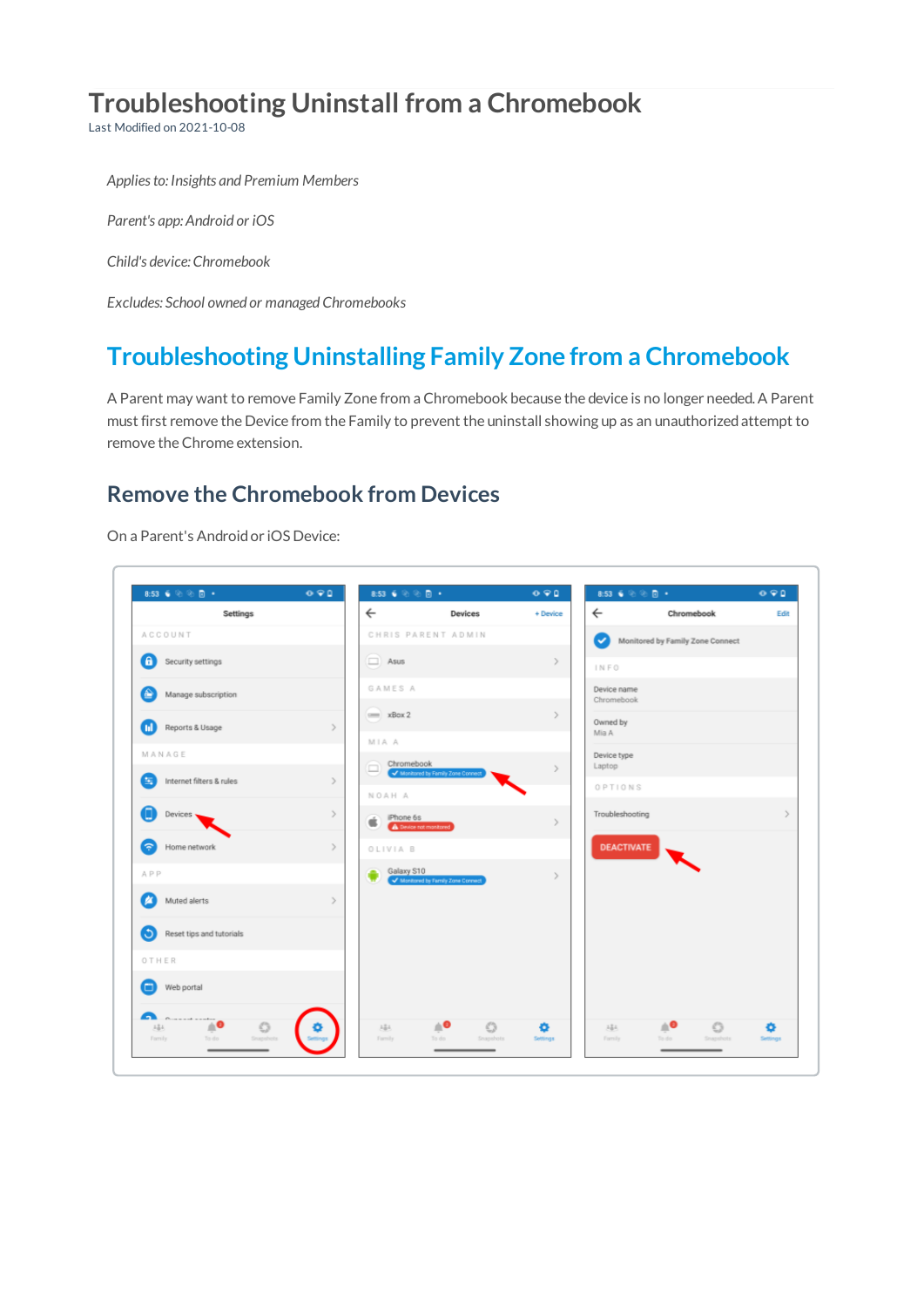# **Troubleshooting Uninstall from a Chromebook**

Last Modified on 2021-10-08

*Appliesto: Insights and Premium Members*

*Parent's app: Android or iOS*

*Child's device: Chromebook*

*Excludes: School owned or managed Chromebooks*

## **Troubleshooting Uninstalling Family Zone from a Chromebook**

A Parent may want to remove Family Zone from a Chromebook because the device is no longer needed.A Parent must first remove the Device from the Family to prevent the uninstall showing up as an unauthorizedattempt to remove the Chrome extension.

#### **Remove the Chromebook from Devices**

On a Parent's Androidor iOS Device:

 $\sqrt{ }$ 

| $8:53 \ \ \overset{\scriptscriptstyle \leftarrow}{\bullet} \ \ \overset{\scriptscriptstyle \leftarrow}{\otimes} \ \ \overset{\scriptscriptstyle \leftarrow}{\otimes} \ \ \overset{\scriptscriptstyle \leftarrow}{\otimes} \ \ \overset{\scriptscriptstyle \leftarrow}{\bullet} \ \ \overset{\scriptscriptstyle \leftarrow}{\bullet}$ | 0.90          | 8:53 $6$ % $\%$ $\%$ $\degree$ |                                                  | 090           | $8:53 \ \ \tilde{6} \ \ \tilde{\otimes} \ \ \tilde{\otimes} \ \ \tilde{8} \ \ \tilde{9}$ |                                     | 090           |
|--------------------------------------------------------------------------------------------------------------------------------------------------------------------------------------------------------------------------------------------------------------------------------------------------------------------------------------|---------------|--------------------------------|--------------------------------------------------|---------------|------------------------------------------------------------------------------------------|-------------------------------------|---------------|
| Settings                                                                                                                                                                                                                                                                                                                             |               | $\leftarrow$                   | Devices                                          | + Device      | $\leftarrow$                                                                             | Chromebook                          | Edit          |
| ACCOUNT                                                                                                                                                                                                                                                                                                                              |               |                                | CHRIS PARENT ADMIN                               |               |                                                                                          | Monitored by Family Zone Connect    |               |
| A<br>Security settings                                                                                                                                                                                                                                                                                                               |               | $\Box$ Asus                    |                                                  | $\geq$        | INFO                                                                                     |                                     |               |
| ≙<br>Manage subscription                                                                                                                                                                                                                                                                                                             |               | <b>GAMES A</b>                 |                                                  |               | Device name<br>Chromebook                                                                |                                     |               |
| Reports & Usage                                                                                                                                                                                                                                                                                                                      | $\rightarrow$ | $= xBox 2$                     |                                                  | $\rightarrow$ | Owned by<br>Mia A                                                                        |                                     |               |
| MANAGE                                                                                                                                                                                                                                                                                                                               |               | MIA A<br>۰                     | Chromebook<br>v Monitored by Family Zone Connect | $\rightarrow$ | Device type<br>Laptop                                                                    |                                     |               |
| Internet filters & rules<br>8                                                                                                                                                                                                                                                                                                        | $\geq$        | NOAH A                         |                                                  |               | OPTIONS                                                                                  |                                     |               |
| O<br>Devices -                                                                                                                                                                                                                                                                                                                       | $\rightarrow$ | $\bullet$ Phone 6s             | A Device not monitored                           | $\mathcal{P}$ | Troubleshooting                                                                          |                                     | $\mathcal{L}$ |
| Home network<br>اڪ                                                                                                                                                                                                                                                                                                                   | $\geq$        | OLIVIA B                       |                                                  |               | <b>DEACTIVATE</b>                                                                        |                                     |               |
| APP                                                                                                                                                                                                                                                                                                                                  |               | Galaxy S10                     | Monitored by Family Zone Connect                 | $\mathcal{F}$ |                                                                                          |                                     |               |
| Muted alerts<br>ø                                                                                                                                                                                                                                                                                                                    | $\geq$        |                                |                                                  |               |                                                                                          |                                     |               |
| Ю<br>Reset tips and tutorials                                                                                                                                                                                                                                                                                                        |               |                                |                                                  |               |                                                                                          |                                     |               |
| OTHER                                                                                                                                                                                                                                                                                                                                |               |                                |                                                  |               |                                                                                          |                                     |               |
| Web portal<br>▫                                                                                                                                                                                                                                                                                                                      |               |                                |                                                  |               |                                                                                          |                                     |               |
| m<br>$P_{\text{source and}$<br>$\circ$<br>1名4<br>Snapshots:<br>Fornily<br>To do                                                                                                                                                                                                                                                      |               | $2.5 +$<br>Family              | ≜●<br>$\circ$<br>Snapshots<br>To do              | ۰<br>Settings | $3 - \frac{9}{10} +$<br>Fornily                                                          | ≜⊖<br>$\circ$<br>Snapshots<br>To do | o<br>Settings |
|                                                                                                                                                                                                                                                                                                                                      |               |                                |                                                  |               |                                                                                          |                                     |               |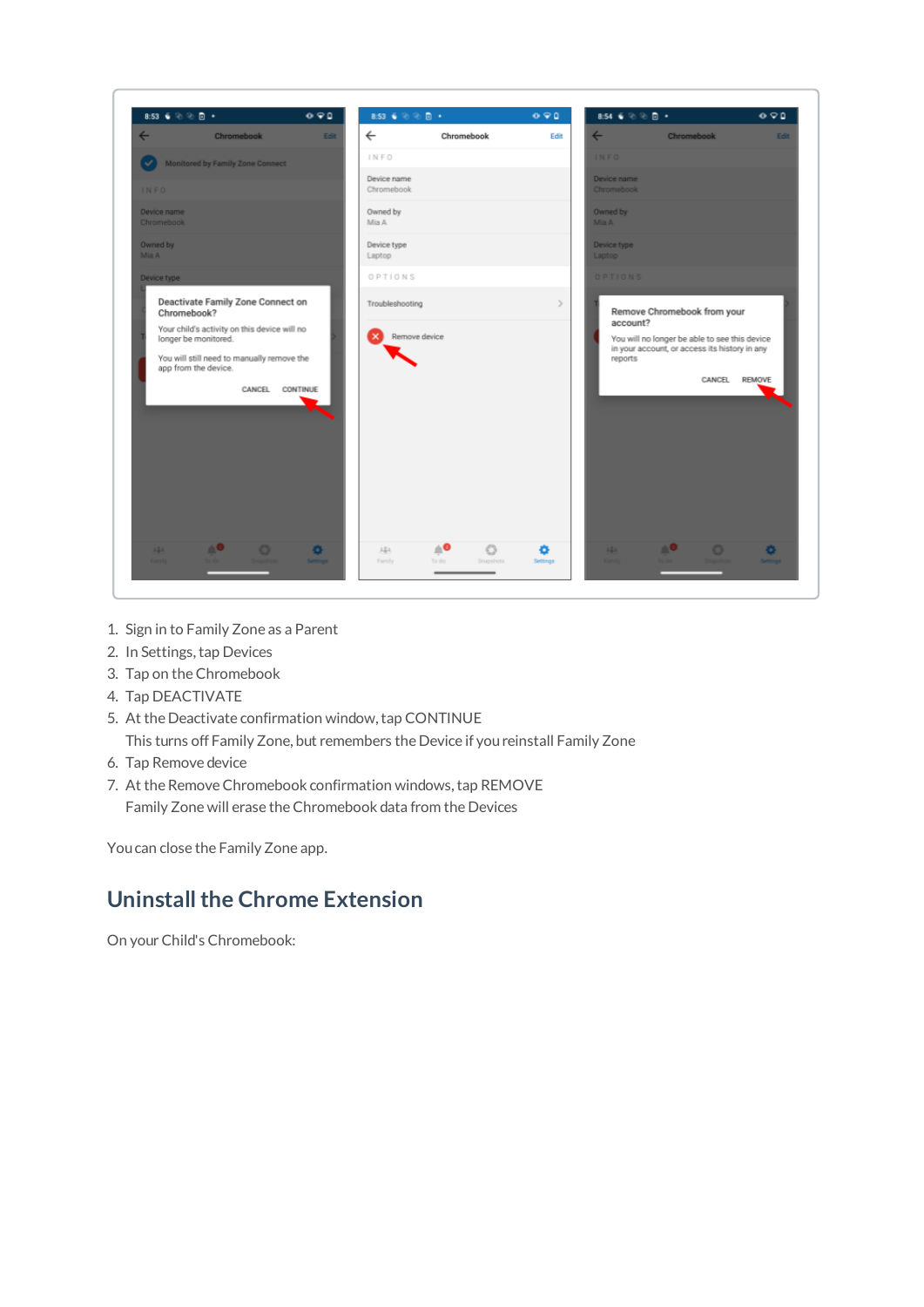

- 1. Sign in to Family Zone as a Parent
- 2. In Settings, tap Devices
- 3. Tap on theChromebook
- 4. Tap DEACTIVATE
- 5. At the Deactivate confirmation window,tap CONTINUE

This turns off Family Zone, but remembers the Device if youreinstall Family Zone

- 6. Tap Remove device
- 7. At the Remove Chromebook confirmation windows, tap REMOVE Family Zone will erase theChromebook data from the Devices

Youcan close the Family Zone app.

### **Uninstall the Chrome Extension**

On your Child's Chromebook: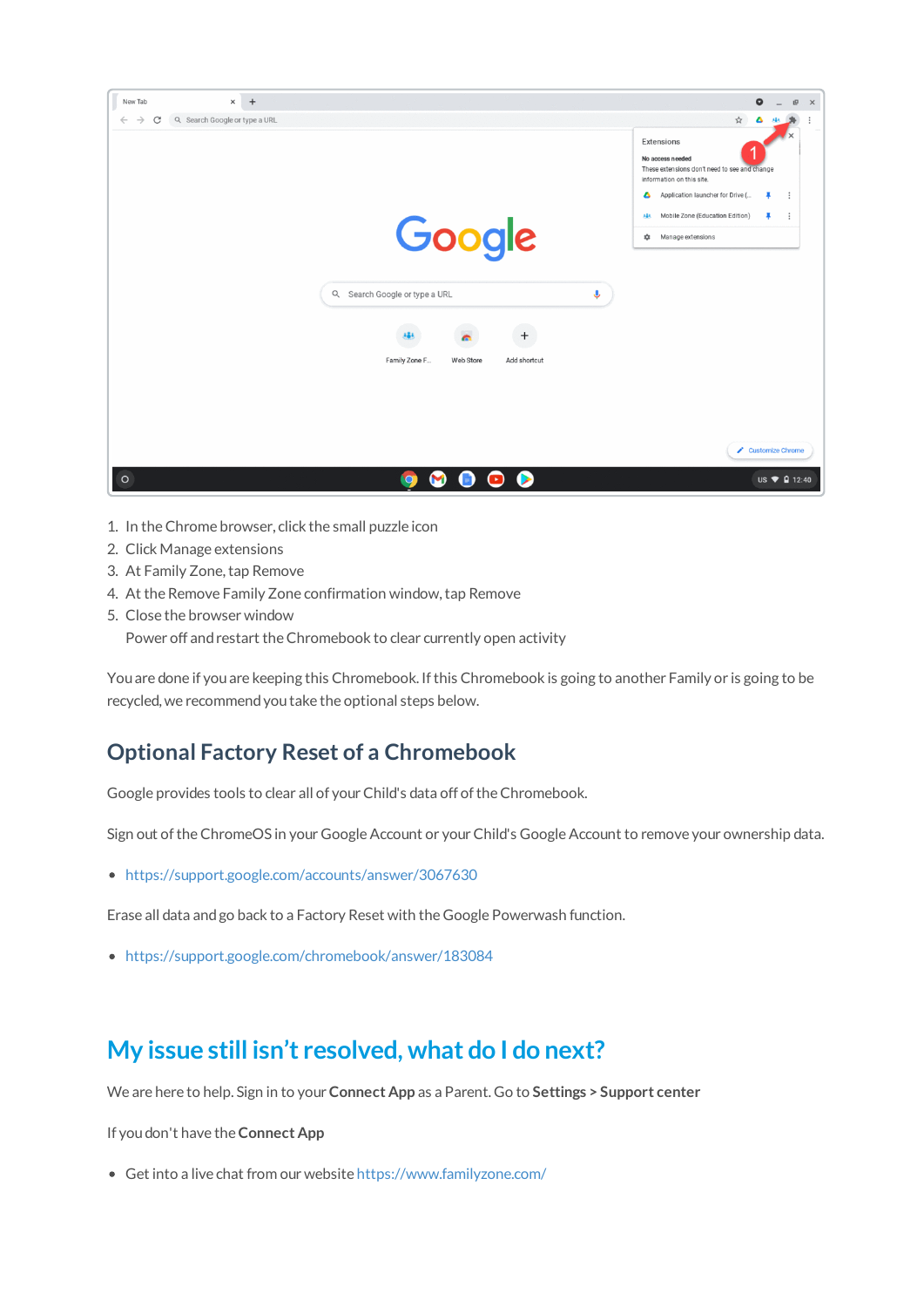

- 1. In theChrome browser, click the small puzzle icon
- 2. Click Manage extensions
- 3. At Family Zone, tap Remove
- 4. At the Remove Family Zone confirmation window,tap Remove
- 5. Close the browser window
	- Power off and restart the Chromebook to clear currently open activity

Youare done if youare keeping this Chromebook. Ifthis Chromebook is going to another Family or is going to be recycled, we recommendyoutake the optional steps below.

#### **Optional Factory Reset of a Chromebook**

Google provides tools to clear all of your Child's data off of the Chromebook.

Sign out of the ChromeOS in your Google Account or your Child's Google Account to remove your ownership data.

https://support.google.com/accounts/answer/3067630

Erase all data andgo back to a Factory Reset with the Google Powerwash function.

https://support.google.com/chromebook/answer/183084

## **My issue still isn't resolved, what do I do next?**

We are here to help. Sign in to your**Connect App** as a Parent. Go to **Settings > Support center**

If youdon't have the **Connect App**

Get into a live chat from our website https://www.familyzone.com/